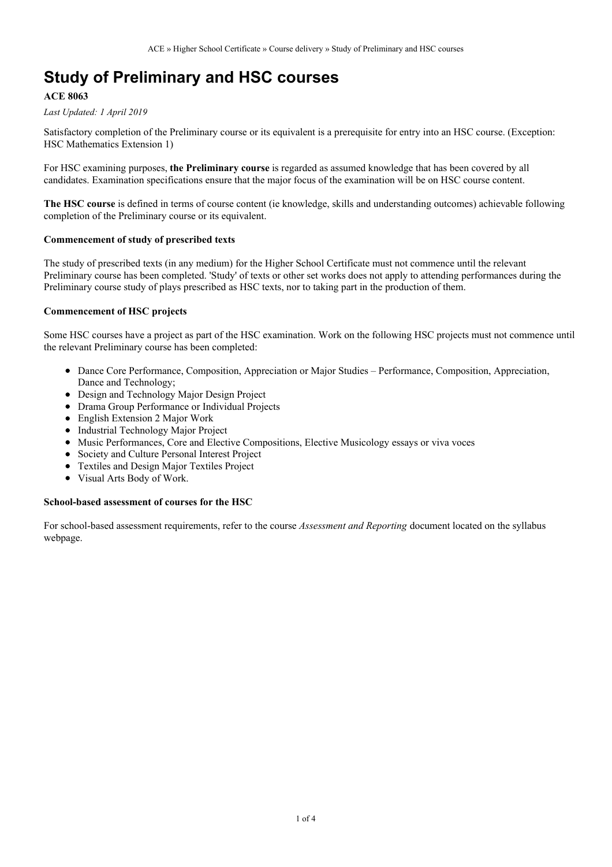# **Study of Preliminary and HSC courses**

## **ACE 8063**

*Last Updated: 1 April 2019*

Satisfactory completion of the Preliminary course or its equivalent is a prerequisite for entry into an HSC course. (Exception: HSC Mathematics Extension 1)

For HSC examining purposes, **the Preliminary course** is regarded as assumed knowledge that has been covered by all candidates. Examination specifications ensure that the major focus of the examination will be on HSC course content.

**The HSC course** is defined in terms of course content (ie knowledge, skills and understanding outcomes) achievable following completion of the Preliminary course or its equivalent.

### **Commencement of study of prescribed texts**

The study of prescribed texts (in any medium) for the Higher School Certificate must not commence until the relevant Preliminary course has been completed. 'Study' of texts or other set works does not apply to attending performances during the Preliminary course study of plays prescribed as HSC texts, nor to taking part in the production of them.

### **Commencement of HSC projects**

Some HSC courses have a project as part of the HSC examination. Work on the following HSC projects must not commence until the relevant Preliminary course has been completed:

- Dance Core Performance, Composition, Appreciation or Major Studies Performance, Composition, Appreciation, Dance and Technology;
- Design and Technology Major Design Project
- Drama Group Performance or Individual Projects
- English Extension 2 Major Work
- Industrial Technology Major Project
- Music Performances, Core and Elective Compositions, Elective Musicology essays or viva voces
- Society and Culture Personal Interest Project
- Textiles and Design Major Textiles Project
- Visual Arts Body of Work.

#### **School-based assessment of courses for the HSC**

For school-based assessment requirements, refer to the course *Assessment and Reporting* document located on the syllabus webpage.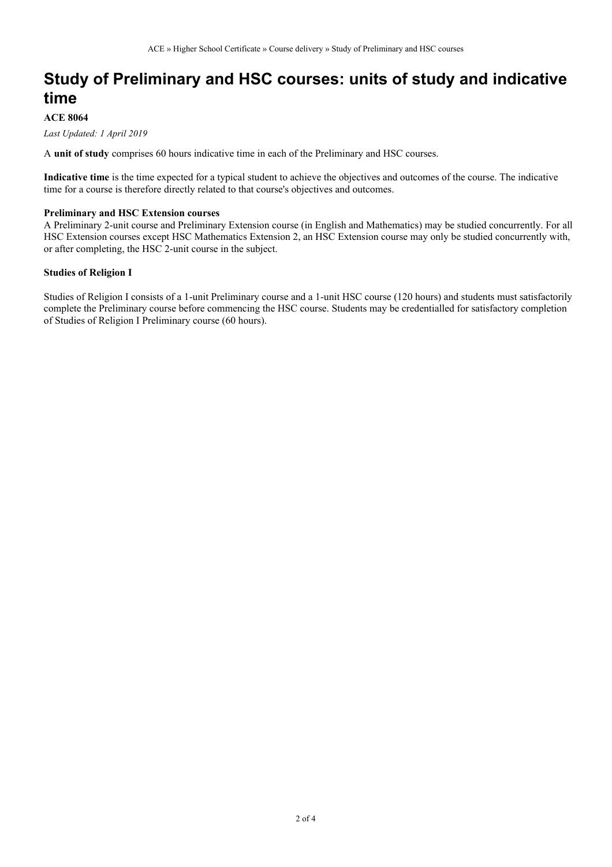# **Study of Preliminary and HSC courses: units of study and indicative time**

## **ACE 8064**

*Last Updated: 1 April 2019*

A **unit of study** comprises 60 hours indicative time in each of the Preliminary and HSC courses.

**Indicative time** is the time expected for a typical student to achieve the objectives and outcomes of the course. The indicative time for a course is therefore directly related to that course's objectives and outcomes.

#### **Preliminary and HSC Extension courses**

A Preliminary 2-unit course and Preliminary Extension course (in English and Mathematics) may be studied concurrently. For all HSC Extension courses except HSC Mathematics Extension 2, an HSC Extension course may only be studied concurrently with, or after completing, the HSC 2-unit course in the subject.

### **Studies of Religion I**

Studies of Religion I consists of a 1-unit Preliminary course and a 1-unit HSC course (120 hours) and students must satisfactorily complete the Preliminary course before commencing the HSC course. Students may be credentialled for satisfactory completion of Studies of Religion I Preliminary course (60 hours).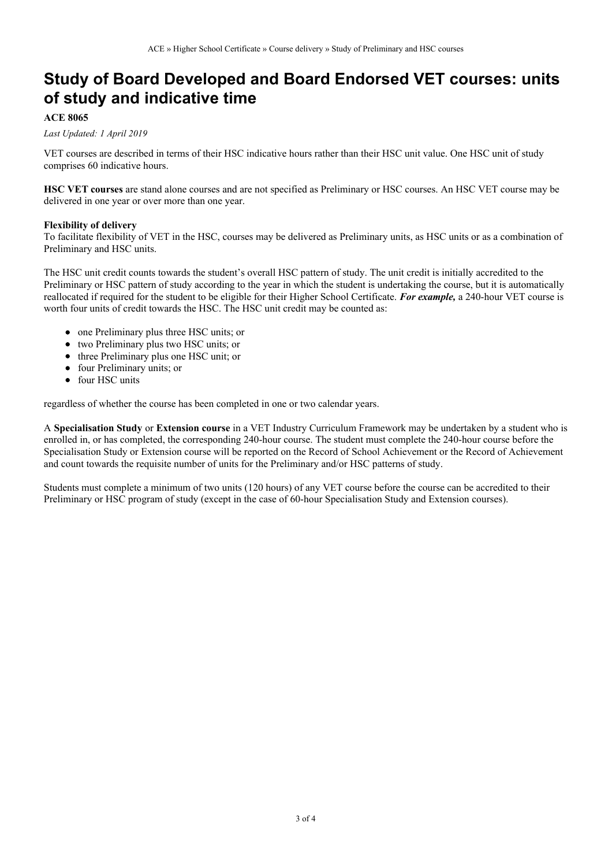## **Study of Board Developed and Board Endorsed VET courses: units of study and indicative time**

## **ACE 8065**

#### *Last Updated: 1 April 2019*

VET courses are described in terms of their HSC indicative hours rather than their HSC unit value. One HSC unit of study comprises 60 indicative hours.

**HSC VET courses** are stand alone courses and are not specified as Preliminary or HSC courses. An HSC VET course may be delivered in one year or over more than one year.

#### **Flexibility of delivery**

To facilitate flexibility of VET in the HSC, courses may be delivered as Preliminary units, as HSC units or as a combination of Preliminary and HSC units.

The HSC unit credit counts towards the student's overall HSC pattern of study. The unit credit is initially accredited to the Preliminary or HSC pattern of study according to the year in which the student is undertaking the course, but it is automatically reallocated if required for the student to be eligible for their Higher School Certificate. *For example,* a 240-hour VET course is worth four units of credit towards the HSC. The HSC unit credit may be counted as:

- one Preliminary plus three HSC units; or
- two Preliminary plus two HSC units; or
- three Preliminary plus one HSC unit; or
- four Preliminary units; or
- four HSC units

regardless of whether the course has been completed in one or two calendar years.

A **Specialisation Study** or **Extension course** in a VET Industry Curriculum Framework may be undertaken by a student who is enrolled in, or has completed, the corresponding 240-hour course. The student must complete the 240-hour course before the Specialisation Study or Extension course will be reported on the Record of School Achievement or the Record of Achievement and count towards the requisite number of units for the Preliminary and/or HSC patterns of study.

Students must complete a minimum of two units (120 hours) of any VET course before the course can be accredited to their Preliminary or HSC program of study (except in the case of 60-hour Specialisation Study and Extension courses).